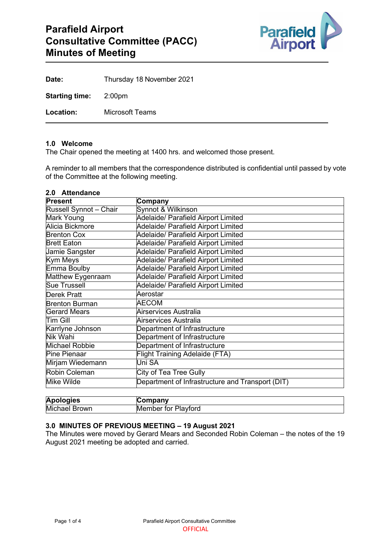

| Date:                        | Thursday 18 November 2021 |
|------------------------------|---------------------------|
| <b>Starting time:</b> 2:00pm |                           |
| Location:                    | Microsoft Teams           |

#### **1.0 Welcome**

The Chair opened the meeting at 1400 hrs. and welcomed those present.

A reminder to all members that the correspondence distributed is confidential until passed by vote of the Committee at the following meeting.

# **2.0 Attendance**

| <b>Present</b>          | Company                                          |
|-------------------------|--------------------------------------------------|
| Russell Synnot - Chair  | Synnot & Wilkinson                               |
| <b>Mark Young</b>       | <b>Adelaide/ Parafield Airport Limited</b>       |
| Alicia Bickmore         | Adelaide/ Parafield Airport Limited              |
| <b>Brenton Cox</b>      | Adelaide/ Parafield Airport Limited              |
| <b>Brett Eaton</b>      | <b>Adelaide/ Parafield Airport Limited</b>       |
| Jamie Sangster          | Adelaide/ Parafield Airport Limited              |
| <b>Kym Meys</b>         | <b>Adelaide/ Parafield Airport Limited</b>       |
| <b>Emma Boulby</b>      | Adelaide/ Parafield Airport Limited              |
| Matthew Eygenraam       | Adelaide/ Parafield Airport Limited              |
| <b>Sue Trussell</b>     | <b>Adelaide/ Parafield Airport Limited</b>       |
| <b>Derek Pratt</b>      | Aerostar                                         |
| <b>Brenton Burman</b>   | AECOM                                            |
| <b>Gerard Mears</b>     | <b>Airservices Australia</b>                     |
| Tim Gill                | Airservices Australia                            |
| <b>Karrlyne Johnson</b> | Department of Infrastructure                     |
| Nik Wahi                | Department of Infrastructure                     |
| Michael Robbie          | Department of Infrastructure                     |
| <b>Pine Pienaar</b>     | <b>Flight Training Adelaide (FTA)</b>            |
| Mirjam Wiedemann        | Uni SA                                           |
| <b>Robin Coleman</b>    | <b>City of Tea Tree Gully</b>                    |
| <b>Mike Wilde</b>       | Department of Infrastructure and Transport (DIT) |

| <b>Apologies</b>             | mpany                                        |
|------------------------------|----------------------------------------------|
| Mich<br><b>Brown</b><br>าael | ıvtord<br>-- -<br>- -<br>IMF<br>τοι<br>ember |

# **3.0 MINUTES OF PREVIOUS MEETING – 19 August 2021**

The Minutes were moved by Gerard Mears and Seconded Robin Coleman – the notes of the 19 August 2021 meeting be adopted and carried.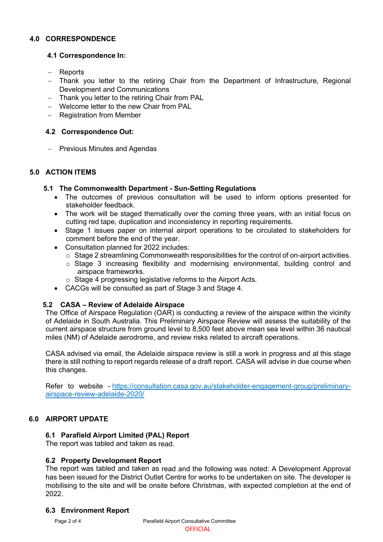## **4.0 CORRESPONDENCE**

## **4.1 Correspondence In:**

- − Reports
- − Thank you letter to the retiring Chair from the Department of Infrastructure, Regional Development and Communications
- − Thank you letter to the retiring Chair from PAL
- − Welcome letter to the new Chair from PAL
- − Registration from Member

## **4.2 Correspondence Out:**

− Previous Minutes and Agendas

## **5.0 ACTION ITEMS**

## **5.1 The Commonwealth Department - Sun-Setting Regulations**

- The outcomes of previous consultation will be used to inform options presented for stakeholder feedback.
- The work will be staged thematically over the coming three years, with an initial focus on cutting red tape, duplication and inconsistency in reporting requirements.
- Stage 1 issues paper on internal airport operations to be circulated to stakeholders for comment before the end of the year.
- Consultation planned for 2022 includes:
	- $\circ$  Stage 2 streamlining Commonwealth responsibilities for the control of on-airport activities.
	- $\circ$  Stage 3 increasing flexibility and modernising environmental, building control and airspace frameworks.
	- o Stage 4 progressing legislative reforms to the Airport Acts.
- CACGs will be consulted as part of Stage 3 and Stage 4.

## **5.2 CASA – Review of Adelaide Airspace**

The Office of Airspace Regulation (OAR) is conducting a review of the airspace within the vicinity of Adelaide in South Australia. This Preliminary Airspace Review will assess the suitability of the current airspace structure from ground level to 8,500 feet above mean sea level within 36 nautical miles (NM) of Adelaide aerodrome, and review risks related to aircraft operations.

CASA advised via email, the Adelaide airspace review is still a work in progress and at this stage there is still nothing to report regards release of a draft report. CASA will advise in due course when this changes.

Refer to website - [https://consultation.casa.gov.au/stakeholder-engagement-group/preliminary](https://consultation.casa.gov.au/stakeholder-engagement-group/preliminary-airspace-review-adelaide-2020/)[airspace-review-adelaide-2020/](https://consultation.casa.gov.au/stakeholder-engagement-group/preliminary-airspace-review-adelaide-2020/)

# **6.0 AIRPORT UPDATE**

## **6.1 Parafield Airport Limited (PAL) Report**

The report was tabled and taken as read.

## **6.2 Property Development Report**

The report was tabled and taken as read and the following was noted: A Development Approval has been issued for the District Outlet Centre for works to be undertaken on site. The developer is mobilising to the site and will be onsite before Christmas, with expected completion at the end of 2022.

## **6.3 Environment Report**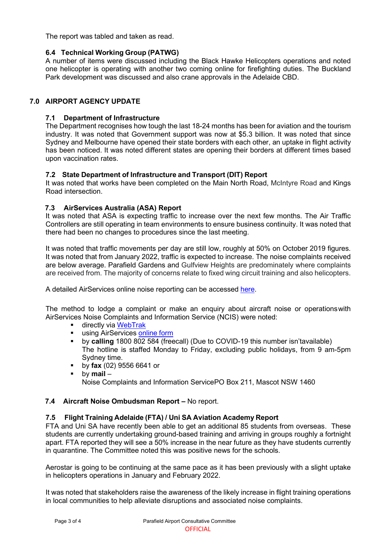The report was tabled and taken as read.

# **6.4 Technical Working Group (PATWG)**

A number of items were discussed including the Black Hawke Helicopters operations and noted one helicopter is operating with another two coming online for firefighting duties. The Buckland Park development was discussed and also crane approvals in the Adelaide CBD.

# **7.0 AIRPORT AGENCY UPDATE**

# **7.1 Department of Infrastructure**

The Department recognises how tough the last 18-24 months has been for aviation and the tourism industry. It was noted that Government support was now at \$5.3 billion. It was noted that since Sydney and Melbourne have opened their state borders with each other, an uptake in flight activity has been noticed. It was noted different states are opening their borders at different times based upon vaccination rates.

# **7.2 State Department of Infrastructure and Transport (DIT) Report**

It was noted that works have been completed on the Main North Road, McIntyre Road and Kings Road intersection.

# **7.3 AirServices Australia (ASA) Report**

It was noted that ASA is expecting traffic to increase over the next few months. The Air Traffic Controllers are still operating in team environments to ensure business continuity. It was noted that there had been no changes to procedures since the last meeting.

It was noted that traffic movements per day are still low, roughly at 50% on October 2019 figures. It was noted that from January 2022, traffic is expected to increase. The noise complaints received are below average. Parafield Gardens and Gulfview Heights are predominately where complaints are received from. The majority of concerns relate to fixed wing circuit training and also helicopters.

A detailed AirServices online noise reporting can be accessed [here.](http://www.airservicesaustralia.com/aircraftnoise/airports/)

The method to lodge a complaint or make an enquiry about aircraft noise or operationswith AirServices Noise Complaints and Information Service (NCIS) were noted:

- directly via [WebTrak](http://www.airservicesaustralia.com/aircraftnoise/webtrak/)<br>■ using AirServices.on
- using AirServices [online](http://www.airservicesaustralia.com/aircraftnoise/about-making-a-complaint/how-to-make-a-complaint/) form
- by **calling** 1800 802 584 (freecall) (Due to COVID-19 this number isn'tavailable) The hotline is staffed Monday to Friday, excluding public holidays, from 9 am-5pm Sydney time.
- by **fax** (02) 9556 6641 or
- by **mail** –

Noise Complaints and Information ServicePO Box 211, Mascot NSW 1460

# **7.4 Aircraft Noise Ombudsman Report –** No report.

## **7.5 Flight Training Adelaide (FTA) / Uni SA Aviation Academy Report**

FTA and Uni SA have recently been able to get an additional 85 students from overseas. These students are currently undertaking ground-based training and arriving in groups roughly a fortnight apart. FTA reported they will see a 50% increase in the near future as they have students currently in quarantine. The Committee noted this was positive news for the schools.

Aerostar is going to be continuing at the same pace as it has been previously with a slight uptake in helicopters operations in January and February 2022.

It was noted that stakeholders raise the awareness of the likely increase in flight training operations in local communities to help alleviate disruptions and associated noise complaints.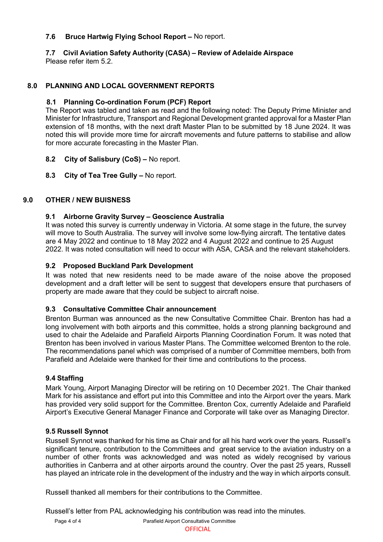## **7.6 Bruce Hartwig Flying School Report –** No report.

# **7.7 Civil Aviation Safety Authority (CASA) – Review of Adelaide Airspace**

Please refer item 5.2.

# **8.0 PLANNING AND LOCAL GOVERNMENT REPORTS**

## **8.1 Planning Co-ordination Forum (PCF) Report**

The Report was tabled and taken as read and the following noted: The Deputy Prime Minister and Minister for Infrastructure, Transport and Regional Development granted approval for a Master Plan extension of 18 months, with the next draft Master Plan to be submitted by 18 June 2024. It was noted this will provide more time for aircraft movements and future patterns to stabilise and allow for more accurate forecasting in the Master Plan.

- **8.2 City of Salisbury (CoS) –** No report.
- **8.3 City of Tea Tree Gully –** No report.

## **9.0 OTHER / NEW BUISNESS**

## **9.1 Airborne Gravity Survey – Geoscience Australia**

It was noted this survey is currently underway in Victoria. At some stage in the future, the survey will move to South Australia. The survey will involve some low-flying aircraft. The tentative dates are 4 May 2022 and continue to 18 May 2022 and 4 August 2022 and continue to 25 August 2022. It was noted consultation will need to occur with ASA, CASA and the relevant stakeholders.

## **9.2 Proposed Buckland Park Development**

It was noted that new residents need to be made aware of the noise above the proposed development and a draft letter will be sent to suggest that developers ensure that purchasers of property are made aware that they could be subject to aircraft noise.

## **9.3 Consultative Committee Chair announcement**

Brenton Burman was announced as the new Consultative Committee Chair. Brenton has had a long involvement with both airports and this committee, holds a strong planning background and used to chair the Adelaide and Parafield Airports Planning Coordination Forum. It was noted that Brenton has been involved in various Master Plans. The Committee welcomed Brenton to the role. The recommendations panel which was comprised of a number of Committee members, both from Parafield and Adelaide were thanked for their time and contributions to the process.

## **9.4 Staffing**

Mark Young, Airport Managing Director will be retiring on 10 December 2021. The Chair thanked Mark for his assistance and effort put into this Committee and into the Airport over the years. Mark has provided very solid support for the Committee. Brenton Cox, currently Adelaide and Parafield Airport's Executive General Manager Finance and Corporate will take over as Managing Director.

## **9.5 Russell Synnot**

Russell Synnot was thanked for his time as Chair and for all his hard work over the years. Russell's significant tenure, contribution to the Committees and great service to the aviation industry on a number of other fronts was acknowledged and was noted as widely recognised by various authorities in Canberra and at other airports around the country. Over the past 25 years, Russell has played an intricate role in the development of the industry and the way in which airports consult.

Russell thanked all members for their contributions to the Committee.

Russell's letter from PAL acknowledging his contribution was read into the minutes.